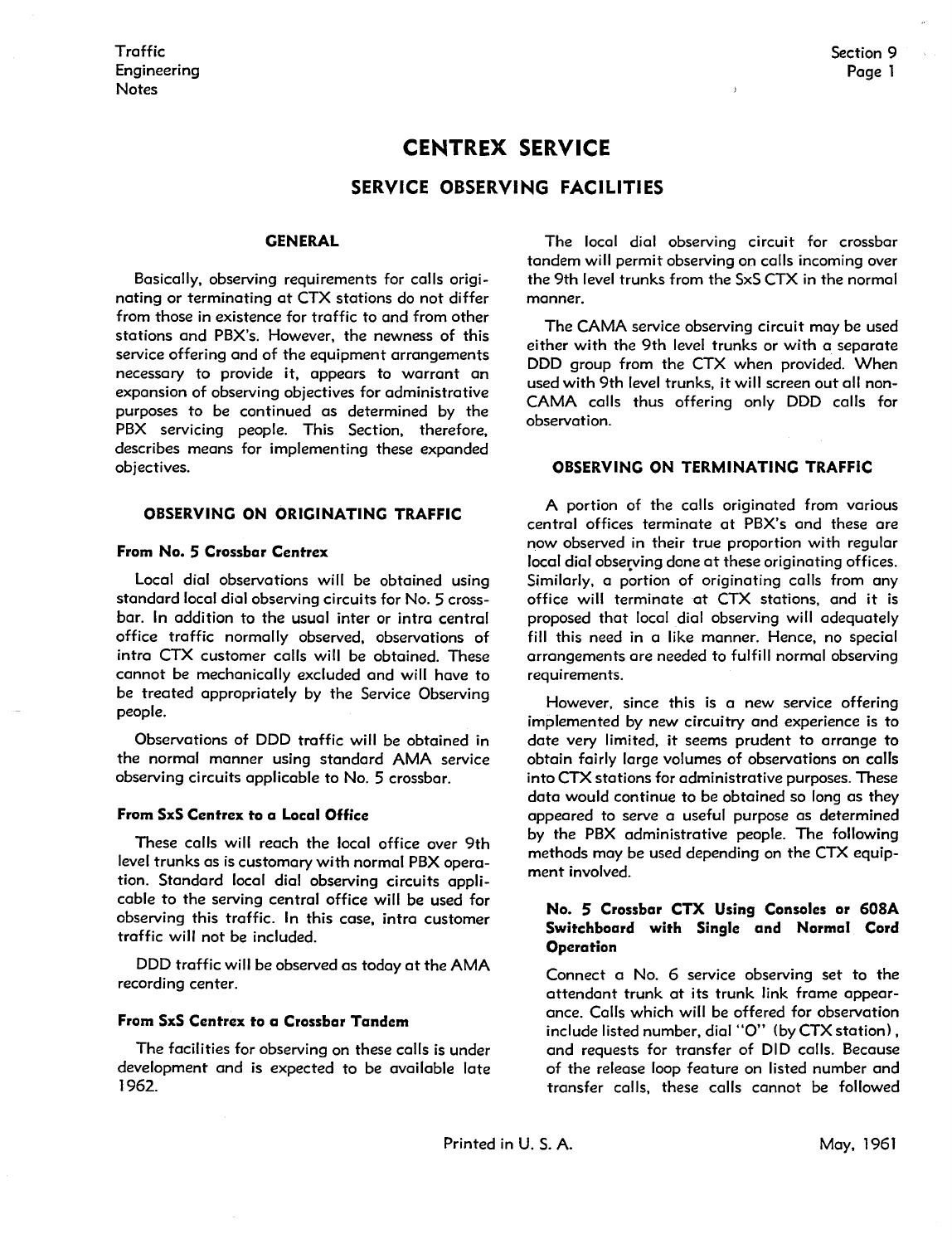# **CENTREX SERVICE**

## **SERVICE OBSERVING FACILITIES**

#### **GENERAL**

Basically, observing requirements for calls originating or terminating at CTX stations do not differ from those in existence for traffic to and from other stations and PBX's. However, the newness of this service offering and of the equipment arrangements necessary to provide it, appears to warrant an expansion of observing objectives for administrative purposes to be continued as determined by the PBX servicing people. This Section, therefore, describes means for implementing these expanded objectives.

#### **OBSERVING ON ORIGINATING TRAFFIC**

#### **From No. 5 Crossbar Centrex**

Local dial observations will be obtained using standard local dial observing circuits for No. 5 crossbar. In addition to the usual inter or intra central office traffic normally observed, observations of intra CTX customer calls will be obtained. These cannot be mechanically excluded and will have to be treated appropriately by the Service Observing people.

Observations of DDD traffic will be obtained in the normal manner using standard AMA service observing circuits applicable to No. 5 crossbar.

## **From SxS Centrex to a Local Office**

These calls will reach the local office over 9th level trunks as is customary with normal PBX operation. Standard local dial observing circuits applicable to the serving central office will be used for observing this traffic. In this case, intra customer traffic will not be included.

DDD traffic will be observed as today at the AMA recording center.

#### **From SxS Centrex to a Crossbar Tandem**

The facilities for observing on these calls is under development and is expected to be available late 1962.

The local dial observing circuit for crossbar tandem will permit observing on calls incoming over the 9th level trunks from the SxS CTX in the normal manner.

The CAMA service observing circuit may be used either with the 9th level trunks or with a separate DDD group from the CTX when provided. When used with 9th level trunks, it will screen out all non-**CAMA** calls thus offering only DDD calls for observation.

#### **OBSERVING ON TERMINATING TRAFFIC**

A portion of the calls originated from various central offices terminate at PBX's and these are now observed in their true proportion with regular local dial observing done at these originating offices. Similarly, a portion of originating calls from any office will terminate at CTX stations, and it is proposed that local dial observing will adequately fill this need in a like manner. Hence, no special arrangements ore needed to fulfill normal observing requirements.

However, since this is a new service offering implemented by new circuitry and experience is to date very limited, it seems prudent to arrange to obtain fairly large volumes of observations on calls into CTX stations for administrative purposes. These data would continue to be obtained so long as they appeared to serve a useful purpose as determined by the PBX administrative people. The following methods may be used depending on the CTX equipment involved.

#### **No. 5 Crossbar CTX Using Consoles or 608A Switchboard with Single and Normal Cord Operation**

Connect a No. 6 service observing set to the attendant trunk at its trunk link frame appearance. Calls which will be offered for observation include listed number, dial "O" (by CTX station), and requests for transfer of DID calls. Because of the release loop feature on listed number and transfer calls, these calls cannot be followed